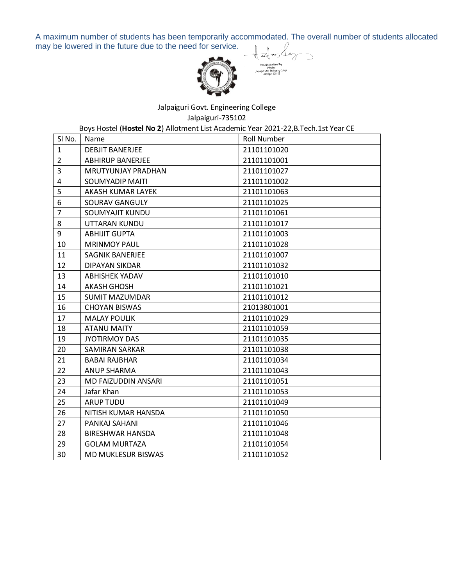A maximum number of students has been temporarily accommodated. The overall number of students allocated may be lowered in the future due to the need for service.



Jalpaiguri Govt. Engineering College

Jalpaiguri-735102

Boys Hostel (**Hostel No 2**) Allotment List Academic Year 2021-22,B.Tech.1st Year CE

| SI No.         | Name                      | <b>Roll Number</b> |
|----------------|---------------------------|--------------------|
| $\mathbf{1}$   | <b>DEBJIT BANERJEE</b>    | 21101101020        |
| $\overline{2}$ | <b>ABHIRUP BANERJEE</b>   | 21101101001        |
| 3              | <b>MRUTYUNJAY PRADHAN</b> | 21101101027        |
| 4              | <b>SOUMYADIP MAITI</b>    | 21101101002        |
| 5              | AKASH KUMAR LAYEK         | 21101101063        |
| 6              | SOURAV GANGULY            | 21101101025        |
| $\overline{7}$ | <b>SOUMYAJIT KUNDU</b>    | 21101101061        |
| 8              | UTTARAN KUNDU             | 21101101017        |
| 9              | <b>ABHIJIT GUPTA</b>      | 21101101003        |
| 10             | <b>MRINMOY PAUL</b>       | 21101101028        |
| 11             | <b>SAGNIK BANERJEE</b>    | 21101101007        |
| 12             | <b>DIPAYAN SIKDAR</b>     | 21101101032        |
| 13             | <b>ABHISHEK YADAV</b>     | 21101101010        |
| 14             | <b>AKASH GHOSH</b>        | 21101101021        |
| 15             | <b>SUMIT MAZUMDAR</b>     | 21101101012        |
| 16             | <b>CHOYAN BISWAS</b>      | 21013801001        |
| 17             | <b>MALAY POULIK</b>       | 21101101029        |
| 18             | <b>ATANU MAITY</b>        | 21101101059        |
| 19             | <b>JYOTIRMOY DAS</b>      | 21101101035        |
| 20             | <b>SAMIRAN SARKAR</b>     | 21101101038        |
| 21             | <b>BABAI RAJBHAR</b>      | 21101101034        |
| 22             | <b>ANUP SHARMA</b>        | 21101101043        |
| 23             | MD FAIZUDDIN ANSARI       | 21101101051        |
| 24             | Jafar Khan                | 21101101053        |
| 25             | <b>ARUP TUDU</b>          | 21101101049        |
| 26             | NITISH KUMAR HANSDA       | 21101101050        |
| 27             | PANKAJ SAHANI             | 21101101046        |
| 28             | <b>BIRESHWAR HANSDA</b>   | 21101101048        |
| 29             | <b>GOLAM MURTAZA</b>      | 21101101054        |
| 30             | <b>MD MUKLESUR BISWAS</b> | 21101101052        |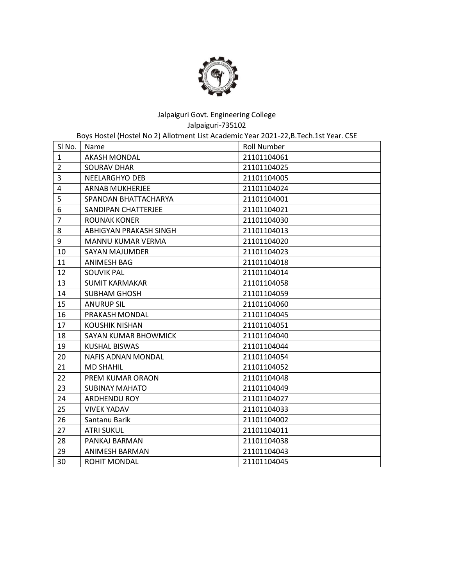

Boys Hostel (Hostel No 2) Allotment List Academic Year 2021-22,B.Tech.1st Year. CSE

| SI No.         | Name                      | <b>Roll Number</b> |
|----------------|---------------------------|--------------------|
| $\mathbf{1}$   | <b>AKASH MONDAL</b>       | 21101104061        |
| $\overline{2}$ | <b>SOURAV DHAR</b>        | 21101104025        |
| 3              | NEELARGHYO DEB            | 21101104005        |
| 4              | <b>ARNAB MUKHERJEE</b>    | 21101104024        |
| 5              | SPANDAN BHATTACHARYA      | 21101104001        |
| 6              | SANDIPAN CHATTERJEE       | 21101104021        |
| $\overline{7}$ | <b>ROUNAK KONER</b>       | 21101104030        |
| 8              | ABHIGYAN PRAKASH SINGH    | 21101104013        |
| 9              | <b>MANNU KUMAR VERMA</b>  | 21101104020        |
| 10             | SAYAN MAJUMDER            | 21101104023        |
| 11             | <b>ANIMESH BAG</b>        | 21101104018        |
| 12             | <b>SOUVIK PAL</b>         | 21101104014        |
| 13             | <b>SUMIT KARMAKAR</b>     | 21101104058        |
| 14             | <b>SUBHAM GHOSH</b>       | 21101104059        |
| 15             | <b>ANURUP SIL</b>         | 21101104060        |
| 16             | PRAKASH MONDAL            | 21101104045        |
| 17             | <b>KOUSHIK NISHAN</b>     | 21101104051        |
| 18             | SAYAN KUMAR BHOWMICK      | 21101104040        |
| 19             | KUSHAL BISWAS             | 21101104044        |
| 20             | <b>NAFIS ADNAN MONDAL</b> | 21101104054        |
| 21             | <b>MD SHAHIL</b>          | 21101104052        |
| 22             | PREM KUMAR ORAON          | 21101104048        |
| 23             | <b>SUBINAY MAHATO</b>     | 21101104049        |
| 24             | <b>ARDHENDU ROY</b>       | 21101104027        |
| 25             | <b>VIVEK YADAV</b>        | 21101104033        |
| 26             | Santanu Barik             | 21101104002        |
| 27             | <b>ATRI SUKUL</b>         | 21101104011        |
| 28             | PANKAJ BARMAN             | 21101104038        |
| 29             | ANIMESH BARMAN            | 21101104043        |
| 30             | ROHIT MONDAL              | 21101104045        |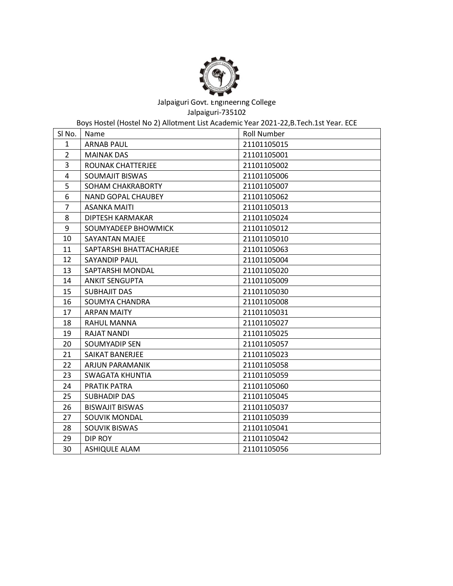

Boys Hostel (Hostel No 2) Allotment List Academic Year 2021-22,B.Tech.1st Year. ECE

| SI No.         | Name                      | <b>Roll Number</b> |
|----------------|---------------------------|--------------------|
| $\mathbf{1}$   | <b>ARNAB PAUL</b>         | 21101105015        |
| $\overline{2}$ | <b>MAINAK DAS</b>         | 21101105001        |
| 3              | ROUNAK CHATTERJEE         | 21101105002        |
| 4              | <b>SOUMAJIT BISWAS</b>    | 21101105006        |
| 5              | SOHAM CHAKRABORTY         | 21101105007        |
| 6              | <b>NAND GOPAL CHAUBEY</b> | 21101105062        |
| $\overline{7}$ | <b>ASANKA MAITI</b>       | 21101105013        |
| 8              | DIPTESH KARMAKAR          | 21101105024        |
| 9              | SOUMYADEEP BHOWMICK       | 21101105012        |
| 10             | SAYANTAN MAJEE            | 21101105010        |
| 11             | SAPTARSHI BHATTACHARJEE   | 21101105063        |
| 12             | SAYANDIP PAUL             | 21101105004        |
| 13             | SAPTARSHI MONDAL          | 21101105020        |
| 14             | <b>ANKIT SENGUPTA</b>     | 21101105009        |
| 15             | <b>SUBHAJIT DAS</b>       | 21101105030        |
| 16             | SOUMYA CHANDRA            | 21101105008        |
| 17             | <b>ARPAN MAITY</b>        | 21101105031        |
| 18             | <b>RAHUL MANNA</b>        | 21101105027        |
| 19             | <b>RAJAT NANDI</b>        | 21101105025        |
| 20             | SOUMYADIP SEN             | 21101105057        |
| 21             | SAIKAT BANERJEE           | 21101105023        |
| 22             | ARJUN PARAMANIK           | 21101105058        |
| 23             | SWAGATA KHUNTIA           | 21101105059        |
| 24             | PRATIK PATRA              | 21101105060        |
| 25             | <b>SUBHADIP DAS</b>       | 21101105045        |
| 26             | <b>BISWAJIT BISWAS</b>    | 21101105037        |
| 27             | SOUVIK MONDAL             | 21101105039        |
| 28             | <b>SOUVIK BISWAS</b>      | 21101105041        |
| 29             | DIP ROY                   | 21101105042        |
| 30             | <b>ASHIQULE ALAM</b>      | 21101105056        |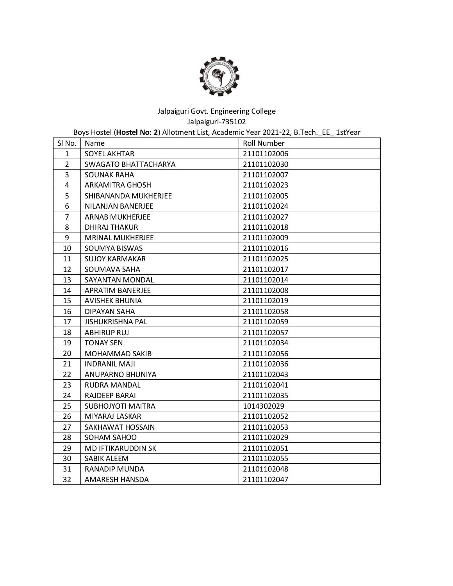

Boys Hostel (**Hostel No: 2**) Allotment List, Academic Year 2021-22, B.Tech.\_EE\_ 1stYear

| SI No.         | Name                     | <b>Roll Number</b> |
|----------------|--------------------------|--------------------|
| 1              | <b>SOYEL AKHTAR</b>      | 21101102006        |
| $\overline{2}$ | SWAGATO BHATTACHARYA     | 21101102030        |
| 3              | <b>SOUNAK RAHA</b>       | 21101102007        |
| 4              | <b>ARKAMITRA GHOSH</b>   | 21101102023        |
| 5              | SHIBANANDA MUKHERJEE     | 21101102005        |
| 6              | NILANJAN BANERJEE        | 21101102024        |
| $\overline{7}$ | <b>ARNAB MUKHERJEE</b>   | 21101102027        |
| 8              | <b>DHIRAJ THAKUR</b>     | 21101102018        |
| 9              | <b>MRINAL MUKHERJEE</b>  | 21101102009        |
| 10             | SOUMYA BISWAS            | 21101102016        |
| 11             | <b>SUJOY KARMAKAR</b>    | 21101102025        |
| 12             | SOUMAVA SAHA             | 21101102017        |
| 13             | SAYANTAN MONDAL          | 21101102014        |
| 14             | APRATIM BANERJEE         | 21101102008        |
| 15             | <b>AVISHEK BHUNIA</b>    | 21101102019        |
| 16             | <b>DIPAYAN SAHA</b>      | 21101102058        |
| 17             | <b>JISHUKRISHNA PAL</b>  | 21101102059        |
| 18             | <b>ABHIRUP RUJ</b>       | 21101102057        |
| 19             | <b>TONAY SEN</b>         | 21101102034        |
| 20             | <b>MOHAMMAD SAKIB</b>    | 21101102056        |
| 21             | <b>INDRANIL MAJI</b>     | 21101102036        |
| 22             | ANUPARNO BHUNIYA         | 21101102043        |
| 23             | RUDRA MANDAL             | 21101102041        |
| 24             | RAJDEEP BARAI            | 21101102035        |
| 25             | <b>SUBHOJYOTI MAITRA</b> | 1014302029         |
| 26             | MIYARAJ LASKAR           | 21101102052        |
| 27             | SAKHAWAT HOSSAIN         | 21101102053        |
| 28             | SOHAM SAHOO              | 21101102029        |
| 29             | MD IFTIKARUDDIN SK       | 21101102051        |
| 30             | SABIK ALEEM              | 21101102055        |
| 31             | RANADIP MUNDA            | 21101102048        |
| 32             | AMARESH HANSDA           | 21101102047        |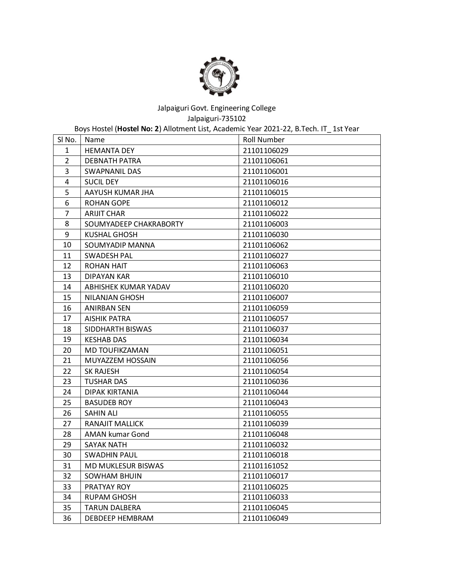

Boys Hostel (**Hostel No: 2**) Allotment List, Academic Year 2021-22, B.Tech. IT\_ 1st Year

| SI No.         | Name                   | <b>Roll Number</b> |
|----------------|------------------------|--------------------|
| $\mathbf{1}$   | <b>HEMANTA DEY</b>     | 21101106029        |
| $\overline{2}$ | DEBNATH PATRA          | 21101106061        |
| 3              | SWAPNANIL DAS          | 21101106001        |
| $\overline{4}$ | <b>SUCIL DEY</b>       | 21101106016        |
| 5              | AAYUSH KUMAR JHA       | 21101106015        |
| 6              | <b>ROHAN GOPE</b>      | 21101106012        |
| $\overline{7}$ | <b>ARIJIT CHAR</b>     | 21101106022        |
| 8              | SOUMYADEEP CHAKRABORTY | 21101106003        |
| 9              | KUSHAL GHOSH           | 21101106030        |
| 10             | SOUMYADIP MANNA        | 21101106062        |
| 11             | SWADESH PAL            | 21101106027        |
| 12             | ROHAN HAIT             | 21101106063        |
| 13             | <b>DIPAYAN KAR</b>     | 21101106010        |
| 14             | ABHISHEK KUMAR YADAV   | 21101106020        |
| 15             | NILANJAN GHOSH         | 21101106007        |
| 16             | <b>ANIRBAN SEN</b>     | 21101106059        |
| 17             | <b>AISHIK PATRA</b>    | 21101106057        |
| 18             | SIDDHARTH BISWAS       | 21101106037        |
| 19             | <b>KESHAB DAS</b>      | 21101106034        |
| 20             | MD TOUFIKZAMAN         | 21101106051        |
| 21             | MUYAZZEM HOSSAIN       | 21101106056        |
| 22             | <b>SK RAJESH</b>       | 21101106054        |
| 23             | <b>TUSHAR DAS</b>      | 21101106036        |
| 24             | DIPAK KIRTANIA         | 21101106044        |
| 25             | <b>BASUDEB ROY</b>     | 21101106043        |
| 26             | <b>SAHIN ALI</b>       | 21101106055        |
| 27             | RANAJIT MALLICK        | 21101106039        |
| 28             | AMAN kumar Gond        | 21101106048        |
| 29             | <b>SAYAK NATH</b>      | 21101106032        |
| 30             | <b>SWADHIN PAUL</b>    | 21101106018        |
| 31             | MD MUKLESUR BISWAS     | 21101161052        |
| 32             | <b>SOWHAM BHUIN</b>    | 21101106017        |
| 33             | PRATYAY ROY            | 21101106025        |
| 34             | RUPAM GHOSH            | 21101106033        |
| 35             | <b>TARUN DALBERA</b>   | 21101106045        |
| 36             | DEBDEEP HEMBRAM        | 21101106049        |